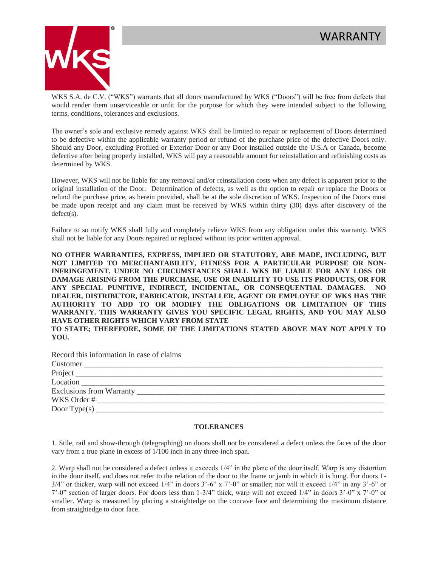

WKS S.A. de C.V. ("WKS") warrants that all doors manufactured by WKS ("Doors") will be free from defects that would render them unserviceable or unfit for the purpose for which they were intended subject to the following terms, conditions, tolerances and exclusions.

The owner's sole and exclusive remedy against WKS shall be limited to repair or replacement of Doors determined to be defective within the applicable warranty period or refund of the purchase price of the defective Doors only. Should any Door, excluding Profiled or Exterior Door or any Door installed outside the U.S.A or Canada, become defective after being properly installed, WKS will pay a reasonable amount for reinstallation and refinishing costs as determined by WKS.

However, WKS will not be liable for any removal and/or reinstallation costs when any defect is apparent prior to the original installation of the Door. Determination of defects, as well as the option to repair or replace the Doors or refund the purchase price, as herein provided, shall be at the sole discretion of WKS. Inspection of the Doors must be made upon receipt and any claim must be received by WKS within thirty (30) days after discovery of the defect(s).

Failure to so notify WKS shall fully and completely relieve WKS from any obligation under this warranty. WKS shall not be liable for any Doors repaired or replaced without its prior written approval.

**NO OTHER WARRANTIES, EXPRESS, IMPLIED OR STATUTORY, ARE MADE, INCLUDING, BUT NOT LIMITED TO MERCHANTABILITY, FITNESS FOR A PARTICULAR PURPOSE OR NON-INFRINGEMENT. UNDER NO CIRCUMSTANCES SHALL WKS BE LIABLE FOR ANY LOSS OR DAMAGE ARISING FROM THE PURCHASE, USE OR INABILITY TO USE ITS PRODUCTS, OR FOR ANY SPECIAL PUNITIVE, INDIRECT, INCIDENTAL, OR CONSEQUENTIAL DAMAGES. NO DEALER, DISTRIBUTOR, FABRICATOR, INSTALLER, AGENT OR EMPLOYEE OF WKS HAS THE AUTHORITY TO ADD TO OR MODIFY THE OBLIGATIONS OR LIMITATION OF THIS WARRANTY. THIS WARRANTY GIVES YOU SPECIFIC LEGAL RIGHTS, AND YOU MAY ALSO HAVE OTHER RIGHTS WHICH VARY FROM STATE**

**TO STATE; THEREFORE, SOME OF THE LIMITATIONS STATED ABOVE MAY NOT APPLY TO YOU.**

| Record this information in case of claims |
|-------------------------------------------|
| Customer                                  |
|                                           |
|                                           |
|                                           |
|                                           |
|                                           |

## **TOLERANCES**

1. Stile, rail and show-through (telegraphing) on doors shall not be considered a defect unless the faces of the door vary from a true plane in excess of 1/100 inch in any three-inch span.

2. Warp shall not be considered a defect unless it exceeds 1/4" in the plane of the door itself. Warp is any distortion in the door itself, and does not refer to the relation of the door to the frame or jamb in which it is hung. For doors 1- 3/4" or thicker, warp will not exceed 1/4" in doors 3'-6" x 7'-0" or smaller; nor will it exceed 1/4" in any 3'-6" or 7'-0" section of larger doors. For doors less than 1-3/4" thick, warp will not exceed 1/4" in doors 3'-0" x 7'-0" or smaller. Warp is measured by placing a straightedge on the concave face and determining the maximum distance from straightedge to door face.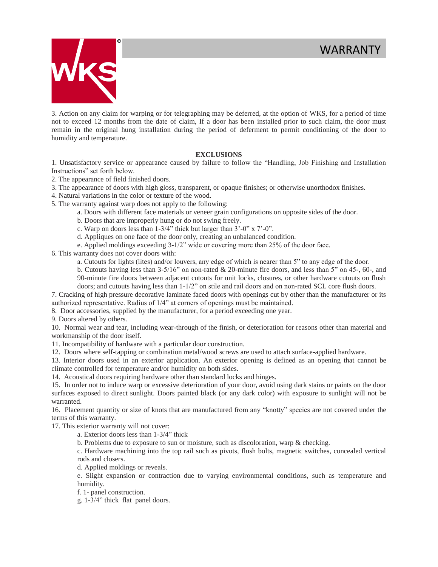

3. Action on any claim for warping or for telegraphing may be deferred, at the option of WKS, for a period of time not to exceed 12 months from the date of claim, If a door has been installed prior to such claim, the door must remain in the original hung installation during the period of deferment to permit conditioning of the door to humidity and temperature.

## **EXCLUSIONS**

1. Unsatisfactory service or appearance caused by failure to follow the "Handling, Job Finishing and Installation Instructions" set forth below.

2. The appearance of field finished doors.

3. The appearance of doors with high gloss, transparent, or opaque finishes; or otherwise unorthodox finishes.

4. Natural variations in the color or texture of the wood.

5. The warranty against warp does not apply to the following:

a. Doors with different face materials or veneer grain configurations on opposite sides of the door.

b. Doors that are improperly hung or do not swing freely.

- c. Warp on doors less than 1-3/4" thick but larger than 3'-0" x 7'-0".
- d. Appliques on one face of the door only, creating an unbalanced condition.

e. Applied moldings exceeding 3-1/2" wide or covering more than 25% of the door face.

6. This warranty does not cover doors with:

a. Cutouts for lights (lites) and/or louvers, any edge of which is nearer than 5" to any edge of the door.

b. Cutouts having less than 3-5/16" on non-rated & 20-minute fire doors, and less than 5" on 45-, 60-, and 90-minute fire doors between adjacent cutouts for unit locks, closures, or other hardware cutouts on flush doors; and cutouts having less than 1-1/2" on stile and rail doors and on non-rated SCL core flush doors.

7. Cracking of high pressure decorative laminate faced doors with openings cut by other than the manufacturer or its authorized representative. Radius of 1/4" at corners of openings must be maintained.

8. Door accessories, supplied by the manufacturer, for a period exceeding one year.

9. Doors altered by others.

10. Normal wear and tear, including wear-through of the finish, or deterioration for reasons other than material and workmanship of the door itself.

11. Incompatibility of hardware with a particular door construction.

12. Doors where self-tapping or combination metal/wood screws are used to attach surface-applied hardware.

13. Interior doors used in an exterior application. An exterior opening is defined as an opening that cannot be climate controlled for temperature and/or humidity on both sides.

14. Acoustical doors requiring hardware other than standard locks and hinges.

15. In order not to induce warp or excessive deterioration of your door, avoid using dark stains or paints on the door surfaces exposed to direct sunlight. Doors painted black (or any dark color) with exposure to sunlight will not be warranted.

16. Placement quantity or size of knots that are manufactured from any "knotty" species are not covered under the terms of this warranty.

17. This exterior warranty will not cover:

a. Exterior doors less than 1-3/4" thick

b. Problems due to exposure to sun or moisture, such as discoloration, warp & checking.

c. Hardware machining into the top rail such as pivots, flush bolts, magnetic switches, concealed vertical rods and closers.

d. Applied moldings or reveals.

e. Slight expansion or contraction due to varying environmental conditions, such as temperature and humidity.

f. 1- panel construction.

g. 1-3/4" thick flat panel doors.